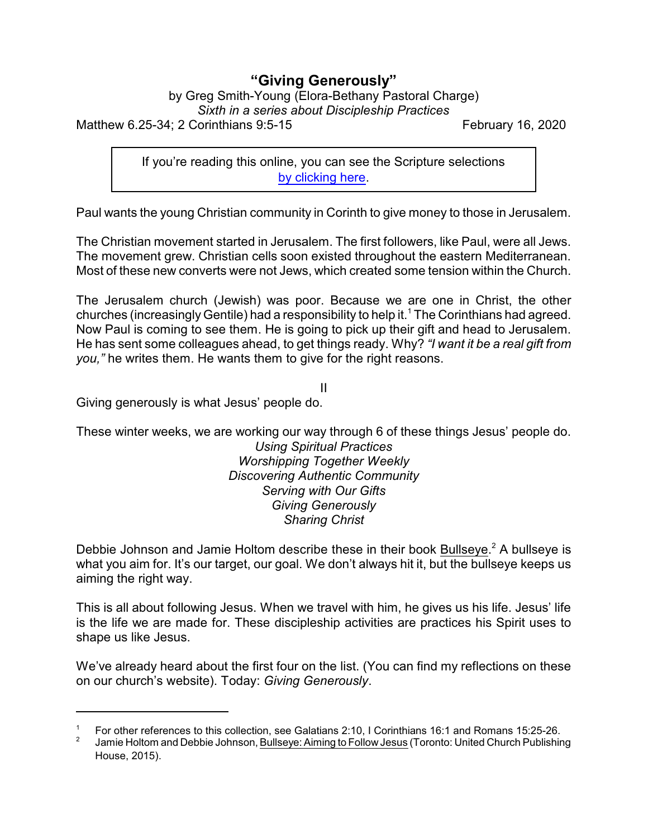## **"Giving Generously"**

by Greg Smith-Young (Elora-Bethany Pastoral Charge)

*Sixth in a series about Discipleship Practices*

Matthew 6.25-34; 2 Corinthians 9:5-15 February 16, 2020

If you're reading this online, you can see the Scripture selections [by clicking here](https://www.biblegateway.com/passage/?search=Matthew+6.25-34%3B+2+Corinthians+9%3A5-15&version=CEB).

Paul wants the young Christian community in Corinth to give money to those in Jerusalem.

The Christian movement started in Jerusalem. The first followers, like Paul, were all Jews. The movement grew. Christian cells soon existed throughout the eastern Mediterranean. Most of these new converts were not Jews, which created some tension within the Church.

The Jerusalem church (Jewish) was poor. Because we are one in Christ, the other churches (increasingly Gentile) had a responsibility to help it.<sup>1</sup> The Corinthians had agreed. Now Paul is coming to see them. He is going to pick up their gift and head to Jerusalem. He has sent some colleagues ahead, to get things ready. Why? *"I want it be a real gift from you,"* he writes them. He wants them to give for the right reasons.

II Giving generously is what Jesus' people do.

These winter weeks, we are working our way through 6 of these things Jesus' people do. *Using Spiritual Practices Worshipping Together Weekly Discovering Authentic Community Serving with Our Gifts Giving Generously*

Debbie Johnson and Jamie Holtom describe these in their book Bullseye.<sup>2</sup> A bullseye is what you aim for. It's our target, our goal. We don't always hit it, but the bullseye keeps us aiming the right way.

*Sharing Christ*

This is all about following Jesus. When we travel with him, he gives us his life. Jesus' life is the life we are made for. These discipleship activities are practices his Spirit uses to shape us like Jesus.

We've already heard about the first four on the list. (You can find my reflections on these on our church's website). Today: *Giving Generously*.

<sup>1</sup> For other references to this collection, see Galatians 2:10, I Corinthians 16:1 and Romans 15:25-26.

<sup>2</sup> Jamie Holtom and Debbie Johnson, Bullseye: Aiming to Follow Jesus (Toronto: United Church Publishing House, 2015).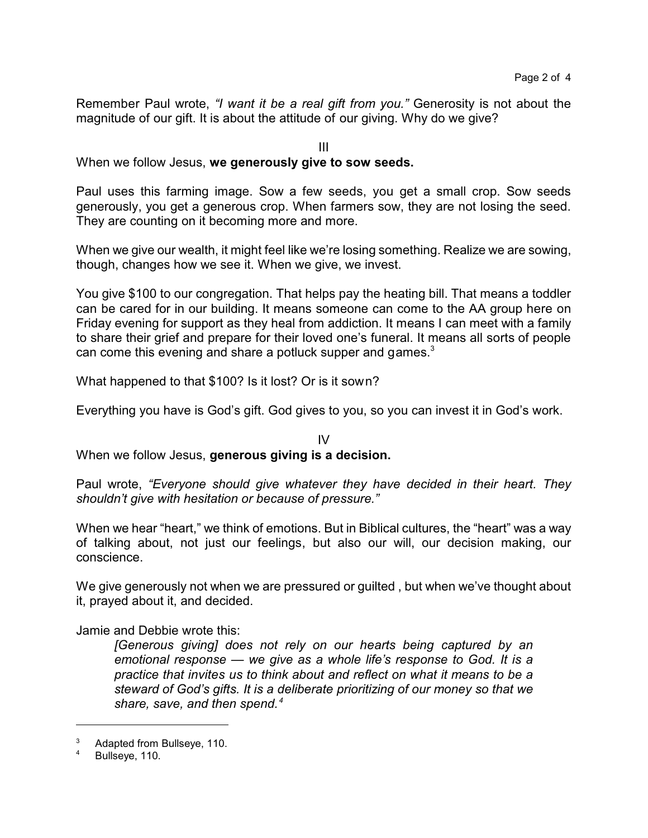Remember Paul wrote, *"I want it be a real gift from you."* Generosity is not about the magnitude of our gift. It is about the attitude of our giving. Why do we give?

III

When we follow Jesus, **we generously give to sow seeds.**

Paul uses this farming image. Sow a few seeds, you get a small crop. Sow seeds generously, you get a generous crop. When farmers sow, they are not losing the seed. They are counting on it becoming more and more.

When we give our wealth, it might feel like we're losing something. Realize we are sowing, though, changes how we see it. When we give, we invest.

You give \$100 to our congregation. That helps pay the heating bill. That means a toddler can be cared for in our building. It means someone can come to the AA group here on Friday evening for support as they heal from addiction. It means I can meet with a family to share their grief and prepare for their loved one's funeral. It means all sorts of people can come this evening and share a potluck supper and games. $3$ 

What happened to that \$100? Is it lost? Or is it sown?

Everything you have is God's gift. God gives to you, so you can invest it in God's work.

 $IV$ When we follow Jesus, **generous giving is a decision.**

Paul wrote, *"Everyone should give whatever they have decided in their heart. They shouldn't give with hesitation or because of pressure."*

When we hear "heart," we think of emotions. But in Biblical cultures, the "heart" was a way of talking about, not just our feelings, but also our will, our decision making, our conscience.

We give generously not when we are pressured or guilted, but when we've thought about it, prayed about it, and decided.

Jamie and Debbie wrote this:

*[Generous giving] does not rely on our hearts being captured by an emotional response — we give as a whole life's response to God. It is a practice that invites us to think about and reflect on what it means to be a steward of God's gifts. It is a deliberate prioritizing of our money so that we share, save, and then spend.<sup>4</sup>*

Adapted from Bullseye, 110.

Bullseye, 110.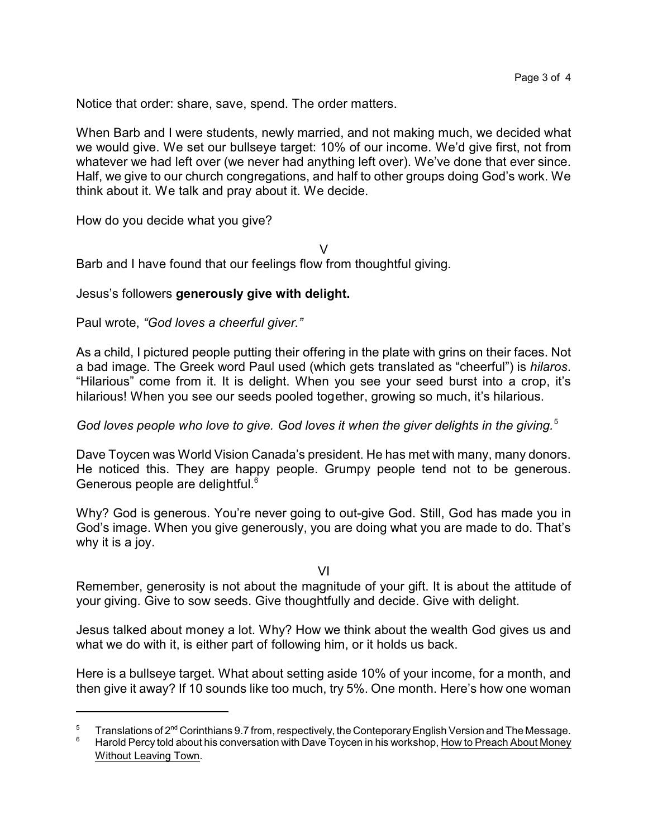Notice that order: share, save, spend. The order matters.

When Barb and I were students, newly married, and not making much, we decided what we would give. We set our bullseye target: 10% of our income. We'd give first, not from whatever we had left over (we never had anything left over). We've done that ever since. Half, we give to our church congregations, and half to other groups doing God's work. We think about it. We talk and pray about it. We decide.

How do you decide what you give?

V

Barb and I have found that our feelings flow from thoughtful giving.

## Jesus's followers **generously give with delight.**

Paul wrote, *"God loves a cheerful giver."*

As a child, I pictured people putting their offering in the plate with grins on their faces. Not a bad image. The Greek word Paul used (which gets translated as "cheerful") is *hilaros*. "Hilarious" come from it. It is delight. When you see your seed burst into a crop, it's hilarious! When you see our seeds pooled together, growing so much, it's hilarious.

*God loves people who love to give. God loves it when the giver delights in the giving.*<sup>5</sup>

Dave Toycen was World Vision Canada's president. He has met with many, many donors. He noticed this. They are happy people. Grumpy people tend not to be generous. Generous people are delightful.<sup>6</sup>

Why? God is generous. You're never going to out-give God. Still, God has made you in God's image. When you give generously, you are doing what you are made to do. That's why it is a joy.

VI

Remember, generosity is not about the magnitude of your gift. It is about the attitude of your giving. Give to sow seeds. Give thoughtfully and decide. Give with delight.

Jesus talked about money a lot. Why? How we think about the wealth God gives us and what we do with it, is either part of following him, or it holds us back.

Here is a bullseye target. What about setting aside 10% of your income, for a month, and then give it away? If 10 sounds like too much, try 5%. One month. Here's how one woman

 $5$  Translations of 2<sup>nd</sup> Corinthians 9.7 from, respectively, the Conteporary English Version and The Message.

Harold Percy told about his conversation with Dave Toycen in his workshop, How to Preach About Money Without Leaving Town.